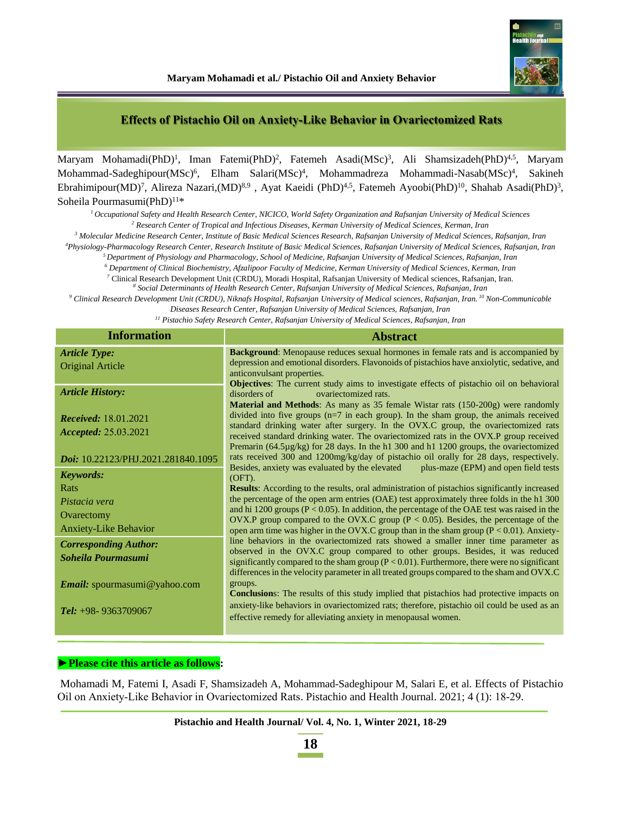### **Effects of Pistachio Oil on Anxiety‐Like Behavior in Ovariectomized Rats**

Maryam Mohamadi(PhD)<sup>1</sup>, Iman Fatemi(PhD)<sup>2</sup>, Fatemeh Asadi(MSc)<sup>3</sup>, Ali Shamsizadeh(PhD)<sup>4,5</sup>, Maryam Mohammad-Sadeghipour(MSc)<sup>6</sup>, Elham Salari(MSc)<sup>4</sup>, Mohammadreza Mohammadi-Nasab(MSc)<sup>4</sup>, Sakineh Ebrahimipour(MD)<sup>7</sup>, Alireza Nazari,(MD)<sup>8,9</sup>, Ayat Kaeidi (PhD)<sup>4,5</sup>, Fatemeh Ayoobi(PhD)<sup>10</sup>, Shahab Asadi(PhD)<sup>3</sup>, Soheila Pourmasumi(PhD)<sup>11\*</sup>

*<sup>1</sup>Occupational Safety and Health Research Center, NICICO, World Safety Organization and Rafsanjan University of Medical Sciences <sup>2</sup> Research Center of Tropical and Infectious Diseases, Kerman University of Medical Sciences, Kerman, Iran*

*<sup>3</sup> Molecular Medicine Research Center, Institute of Basic Medical Sciences Research, Rafsanjan University of Medical Sciences, Rafsanjan, Iran*

*<sup>4</sup>Physiology-Pharmacology Research Center, Research Institute of Basic Medical Sciences, Rafsanjan University of Medical Sciences, Rafsanjan, Iran*

*<sup>5</sup>Department of Physiology and Pharmacology, School of Medicine, Rafsanjan University of Medical Sciences, Rafsanjan, Iran*

*<sup>6</sup> Department of Clinical Biochemistry, Afzalipoor Faculty of Medicine, Kerman University of Medical Sciences, Kerman, Iran*

*<sup>7</sup>* Clinical Research Development Unit (CRDU), Moradi Hospital, Rafsanjan University of Medical sciences, Rafsanjan, Iran.

*<sup>8</sup> Social Determinants of Health Research Center, Rafsanjan University of Medical Sciences, Rafsanjan, Iran*

*<sup>9</sup> Clinical Research Development Unit (CRDU), Niknafs Hospital, Rafsanjan University of Medical sciences, Rafsanjan, Iran. <sup>10</sup> Non-Communicable Diseases Research Center, Rafsanjan University of Medical Sciences, Rafsanjan, Iran*

*<sup>11</sup> Pistachio Safety Research Center, Rafsanjan University of Medical Sciences, Rafsanjan, Iran*

| <b>Information</b>                 | <b>Abstract</b>                                                                                                                                                                            |
|------------------------------------|--------------------------------------------------------------------------------------------------------------------------------------------------------------------------------------------|
| <b>Article Type:</b>               | <b>Background:</b> Menopause reduces sexual hormones in female rats and is accompanied by                                                                                                  |
| Original Article                   | depression and emotional disorders. Flavonoids of pistachios have anxiolytic, sedative, and<br>anticonvulsant properties.                                                                  |
|                                    | <b>Objectives:</b> The current study aims to investigate effects of pistachio oil on behavioral                                                                                            |
| <b>Article History:</b>            | ovariectomized rats.<br>disorders of                                                                                                                                                       |
|                                    | <b>Material and Methods:</b> As many as 35 female Wistar rats (150-200g) were randomly                                                                                                     |
| <i>Received:</i> 18.01.2021        | divided into five groups $(n=7$ in each group). In the sham group, the animals received<br>standard drinking water after surgery. In the OVX.C group, the ovariectomized rats              |
| Accepted: 25.03.2021               | received standard drinking water. The ovariectomized rats in the OVX.P group received                                                                                                      |
|                                    | Premarin (64.5µg/kg) for 28 days. In the h1 300 and h1 1200 groups, the ovariectomized                                                                                                     |
| Doi: 10.22123/PHJ.2021.281840.1095 | rats received 300 and 1200mg/kg/day of pistachio oil orally for 28 days, respectively.                                                                                                     |
| <b>Keywords:</b>                   | Besides, anxiety was evaluated by the elevated<br>plus-maze (EPM) and open field tests<br>$(OFT)$ .                                                                                        |
| Rats                               | Results: According to the results, oral administration of pistachios significantly increased                                                                                               |
| Pistacia vera                      | the percentage of the open arm entries (OAE) test approximately three folds in the h1 300                                                                                                  |
| Ovarectomy                         | and hi 1200 groups ( $P < 0.05$ ). In addition, the percentage of the OAE test was raised in the<br>OVX.P group compared to the OVX.C group ( $P < 0.05$ ). Besides, the percentage of the |
| <b>Anxiety-Like Behavior</b>       | open arm time was higher in the OVX.C group than in the sham group $(P < 0.01)$ . Anxiety-                                                                                                 |
| <b>Corresponding Author:</b>       | line behaviors in the ovariectomized rats showed a smaller inner time parameter as                                                                                                         |
| Soheila Pourmasumi                 | observed in the OVX.C group compared to other groups. Besides, it was reduced<br>significantly compared to the sham group $(P < 0.01)$ . Furthermore, there were no significant            |
|                                    | differences in the velocity parameter in all treated groups compared to the sham and OVX.C                                                                                                 |
| Email: spourmasumi@yahoo.com       | groups.                                                                                                                                                                                    |
|                                    | <b>Conclusion</b> s: The results of this study implied that pistachios had protective impacts on                                                                                           |
| <b>Tel:</b> $+98-9363709067$       | anxiety-like behaviors in ovariectomized rats; therefore, pistachio oil could be used as an                                                                                                |
|                                    | effective remedy for alleviating anxiety in menopausal women.                                                                                                                              |
|                                    |                                                                                                                                                                                            |

#### **►Please cite this article as follows:**

Mohamadi M, Fatemi I, Asadi F, Shamsizadeh A, Mohammad-Sadeghipour M, Salari E, et al. Effects of Pistachio Oil on Anxiety-Like Behavior in Ovariectomized Rats. Pistachio and Health Journal. 2021; 4 (1): 18-29.

**18**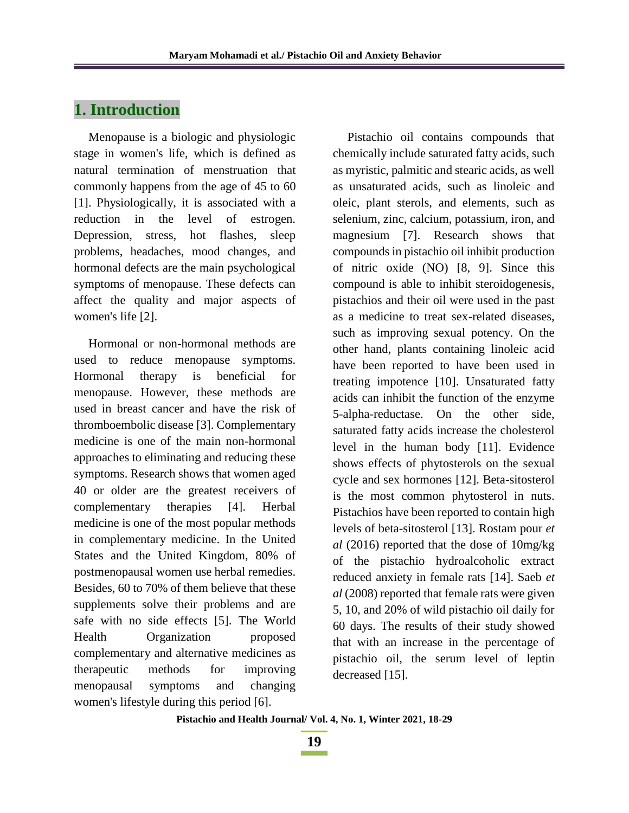# **1. Introduction**

Menopause is a biologic and physiologic stage in women's life, which is defined as natural termination of menstruation that commonly happens from the age of 45 to 60 [1]. Physiologically, it is associated with a reduction in the level of estrogen. Depression, stress, hot flashes, sleep problems, headaches, mood changes, and hormonal defects are the main psychological symptoms of menopause. These defects can affect the quality and major aspects of women's life [2].

Hormonal or non-hormonal methods are used to reduce menopause symptoms. Hormonal therapy is beneficial for menopause. However, these methods are used in breast cancer and have the risk of thromboembolic disease [3]. Complementary medicine is one of the main non-hormonal approaches to eliminating and reducing these symptoms. Research shows that women aged 40 or older are the greatest receivers of complementary therapies [4]. Herbal medicine is one of the most popular methods in complementary medicine. In the United States and the United Kingdom, 80% of postmenopausal women use herbal remedies. Besides, 60 to 70% of them believe that these supplements solve their problems and are safe with no side effects [5]. The World Health Organization proposed complementary and alternative medicines as therapeutic methods for improving menopausal symptoms and changing women's lifestyle during this period [6].

Pistachio oil contains compounds that chemically include saturated fatty acids, such as myristic, palmitic and stearic acids, as well as unsaturated acids, such as linoleic and oleic, plant sterols, and elements, such as selenium, zinc, calcium, potassium, iron, and magnesium [7]. Research shows that compounds in pistachio oil inhibit production of nitric oxide (NO) [8, 9]. Since this compound is able to inhibit steroidogenesis, pistachios and their oil were used in the past as a medicine to treat sex-related diseases, such as improving sexual potency. On the other hand, plants containing linoleic acid have been reported to have been used in treating impotence [10]. Unsaturated fatty acids can inhibit the function of the enzyme 5-alpha-reductase. On the other side, saturated fatty acids increase the cholesterol level in the human body [11]. Evidence shows effects of phytosterols on the sexual cycle and sex hormones [12]. Beta-sitosterol is the most common phytosterol in nuts. Pistachios have been reported to contain high levels of beta-sitosterol [13]. Rostam pour *et al* (2016) reported that the dose of 10mg/kg of the pistachio hydroalcoholic extract reduced anxiety in female rats [14]. Saeb *et al* (2008) reported that female rats were given 5, 10, and 20% of wild pistachio oil daily for 60 days. The results of their study showed that with an increase in the percentage of pistachio oil, the serum level of leptin decreased [15].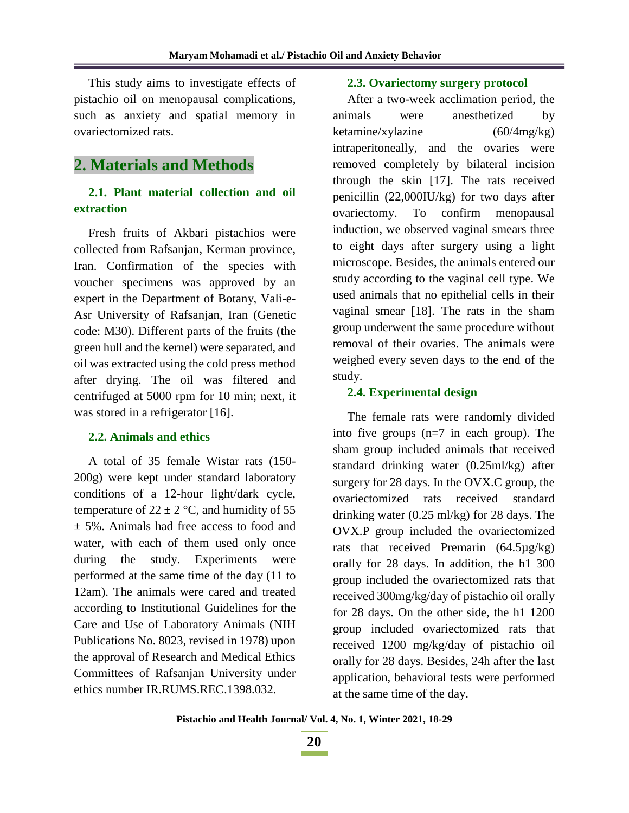This study aims to investigate effects of pistachio oil on menopausal complications, such as anxiety and spatial memory in ovariectomized rats.

# **2. Materials and Methods**

### **2.1. Plant material collection and oil extraction**

Fresh fruits of Akbari pistachios were collected from Rafsanjan, Kerman province, Iran. Confirmation of the species with voucher specimens was approved by an expert in the Department of Botany, Vali-e-Asr University of Rafsanjan, Iran (Genetic code: M30). Different parts of the fruits (the green hull and the kernel) were separated, and oil was extracted using the cold press method after drying. The oil was filtered and centrifuged at 5000 rpm for 10 min; next, it was stored in a refrigerator [16].

### **2.2. Animals and ethics**

A total of 35 female Wistar rats (150- 200g) were kept under standard laboratory conditions of a 12-hour light/dark cycle, temperature of  $22 \pm 2$  °C, and humidity of 55 ± 5%. Animals had free access to food and water, with each of them used only once during the study. Experiments were performed at the same time of the day (11 to 12am). The animals were cared and treated according to Institutional Guidelines for the Care and Use of Laboratory Animals (NIH Publications No. 8023, revised in 1978) upon the approval of Research and Medical Ethics Committees of Rafsanjan University under ethics number IR.RUMS.REC.1398.032.

#### **2.3. Ovariectomy surgery protocol**

After a two-week acclimation period, the animals were anesthetized by ketamine/xylazine (60/4mg/kg) intraperitoneally, and the ovaries were removed completely by bilateral incision through the skin [17]. The rats received penicillin (22,000IU/kg) for two days after ovariectomy. To confirm menopausal induction, we observed vaginal smears three to eight days after surgery using a light microscope. Besides, the animals entered our study according to the vaginal cell type. We used animals that no epithelial cells in their vaginal smear [18]. The rats in the sham group underwent the same procedure without removal of their ovaries. The animals were weighed every seven days to the end of the study.

#### **2.4. Experimental design**

The female rats were randomly divided into five groups (n=7 in each group). The sham group included animals that received standard drinking water (0.25ml/kg) after surgery for 28 days. In the OVX.C group, the ovariectomized rats received standard drinking water (0.25 ml/kg) for 28 days. The OVX.P group included the ovariectomized rats that received Premarin (64.5µg/kg) orally for 28 days. In addition, the h1 300 group included the ovariectomized rats that received 300mg/kg/day of pistachio oil orally for 28 days. On the other side, the h1 1200 group included ovariectomized rats that received 1200 mg/kg/day of pistachio oil orally for 28 days. Besides, 24h after the last application, behavioral tests were performed at the same time of the day.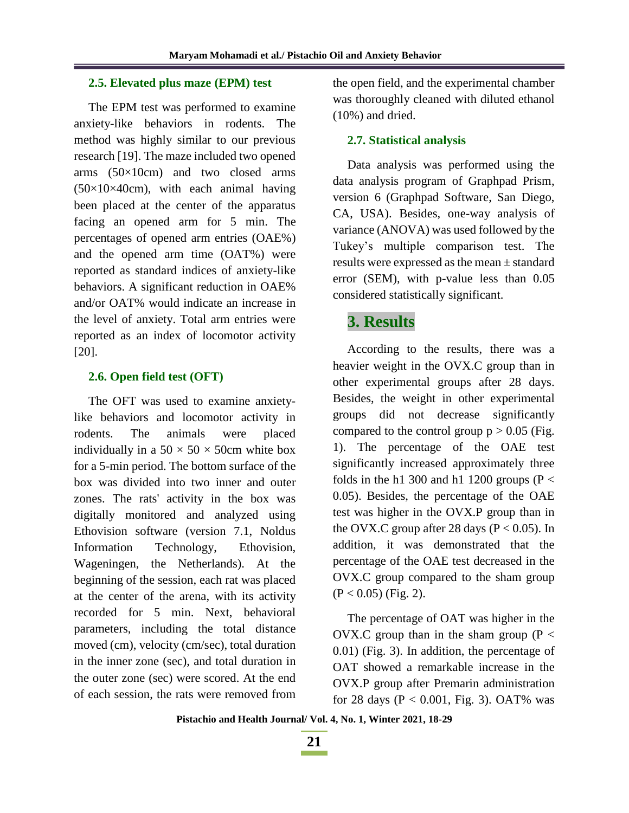#### **2.5. Elevated plus maze (EPM) test**

The EPM test was performed to examine anxiety-like behaviors in rodents. The method was highly similar to our previous research [19]. The maze included two opened arms  $(50\times10$ cm) and two closed arms  $(50\times10\times40$ cm), with each animal having been placed at the center of the apparatus facing an opened arm for 5 min. The percentages of opened arm entries (OAE%) and the opened arm time (OAT%) were reported as standard indices of anxiety-like behaviors. A significant reduction in OAE% and/or OAT% would indicate an increase in the level of anxiety. Total arm entries were reported as an index of locomotor activity [20].

#### **2.6. Open field test (OFT)**

The OFT was used to examine anxietylike behaviors and locomotor activity in rodents. The animals were placed individually in a  $50 \times 50 \times 50$ cm white box for a 5-min period. The bottom surface of the box was divided into two inner and outer zones. The rats' activity in the box was digitally monitored and analyzed using Ethovision software (version 7.1, Noldus Information Technology, Ethovision, Wageningen, the Netherlands). At the beginning of the session, each rat was placed at the center of the arena, with its activity recorded for 5 min. Next, behavioral parameters, including the total distance moved (cm), velocity (cm/sec), total duration in the inner zone (sec), and total duration in the outer zone (sec) were scored. At the end of each session, the rats were removed from

the open field, and the experimental chamber was thoroughly cleaned with diluted ethanol (10%) and dried.

#### **2.7. Statistical analysis**

Data analysis was performed using the data analysis program of Graphpad Prism, version 6 (Graphpad Software, San Diego, CA, USA). Besides, one-way analysis of variance (ANOVA) was used followed by the Tukey's multiple comparison test. The results were expressed as the mean ± standard error (SEM), with p-value less than 0.05 considered statistically significant.

# **3. Results**

According to the results, there was a heavier weight in the OVX.C group than in other experimental groups after 28 days. Besides, the weight in other experimental groups did not decrease significantly compared to the control group  $p > 0.05$  (Fig. 1). The percentage of the OAE test significantly increased approximately three folds in the h1 300 and h1 1200 groups ( $P <$ 0.05). Besides, the percentage of the OAE test was higher in the OVX.P group than in the OVX.C group after 28 days ( $P < 0.05$ ). In addition, it was demonstrated that the percentage of the OAE test decreased in the OVX.C group compared to the sham group  $(P < 0.05)$  (Fig. 2).

The percentage of OAT was higher in the OVX.C group than in the sham group ( $P <$ 0.01) (Fig. 3). In addition, the percentage of OAT showed a remarkable increase in the OVX.P group after Premarin administration for 28 days ( $P < 0.001$ , Fig. 3). OAT% was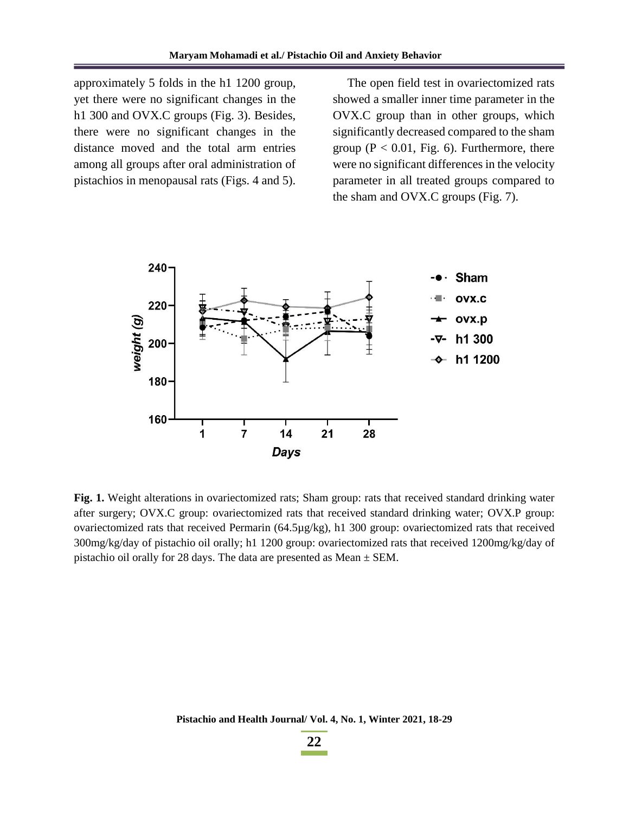approximately 5 folds in the h1 1200 group, yet there were no significant changes in the h1 300 and OVX.C groups (Fig. 3). Besides, there were no significant changes in the distance moved and the total arm entries among all groups after oral administration of pistachios in menopausal rats (Figs. 4 and 5).

The open field test in ovariectomized rats showed a smaller inner time parameter in the OVX.C group than in other groups, which significantly decreased compared to the sham group ( $P < 0.01$ , Fig. 6). Furthermore, there were no significant differences in the velocity parameter in all treated groups compared to the sham and OVX.C groups (Fig. 7).



**Fig. 1.** Weight alterations in ovariectomized rats; Sham group: rats that received standard drinking water after surgery; OVX.C group: ovariectomized rats that received standard drinking water; OVX.P group: ovariectomized rats that received Permarin (64.5µg/kg), h1 300 group: ovariectomized rats that received 300mg/kg/day of pistachio oil orally; h1 1200 group: ovariectomized rats that received 1200mg/kg/day of pistachio oil orally for 28 days. The data are presented as Mean ± SEM.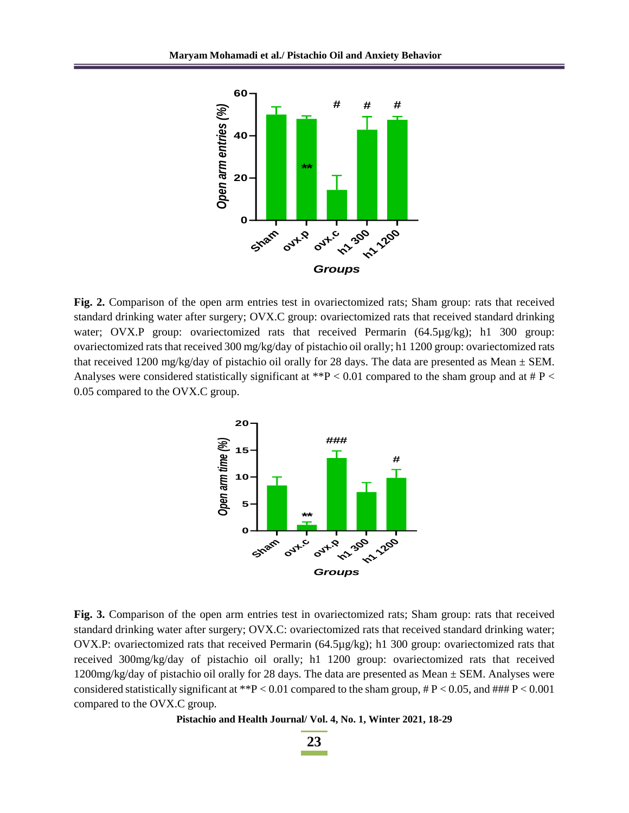

**Fig. 2.** Comparison of the open arm entries test in ovariectomized rats; Sham group: rats that received standard drinking water after surgery; OVX.C group: ovariectomized rats that received standard drinking water; OVX.P group: ovariectomized rats that received Permarin (64.5µg/kg); h1 300 group: ovariectomized rats that received 300 mg/kg/day of pistachio oil orally; h1 1200 group: ovariectomized rats that received 1200 mg/kg/day of pistachio oil orally for 28 days. The data are presented as Mean  $\pm$  SEM. Analyses were considered statistically significant at  $*P < 0.01$  compared to the sham group and at  $*P <$ 0.05 compared to the OVX.C group.



**Fig. 3.** Comparison of the open arm entries test in ovariectomized rats; Sham group: rats that received standard drinking water after surgery; OVX.C: ovariectomized rats that received standard drinking water; OVX.P: ovariectomized rats that received Permarin (64.5µg/kg); h1 300 group: ovariectomized rats that received 300mg/kg/day of pistachio oil orally; h1 1200 group: ovariectomized rats that received 1200mg/kg/day of pistachio oil orally for 28 days. The data are presented as Mean  $\pm$  SEM. Analyses were considered statistically significant at \*\*P < 0.01 compared to the sham group,  $\#P$  < 0.05, and  $\#H\#P$  < 0.001 compared to the OVX.C group.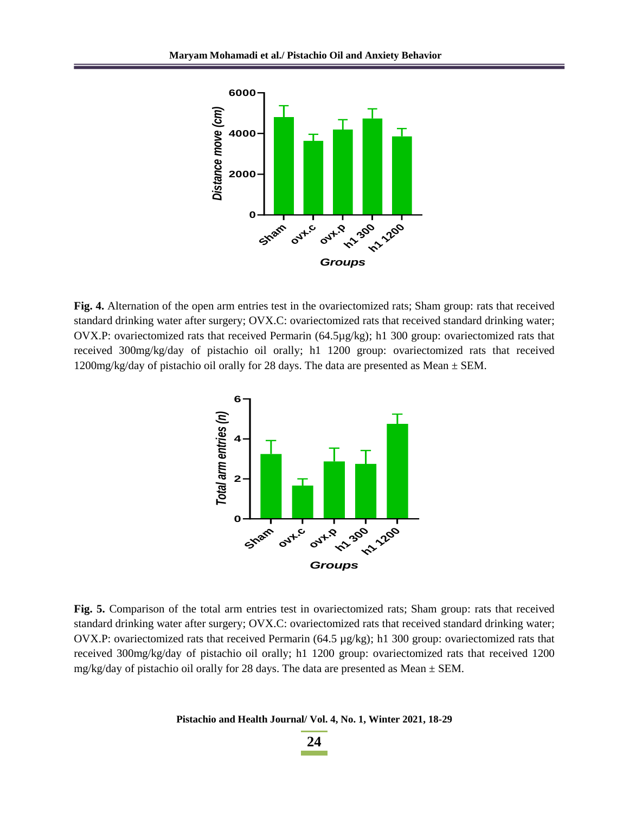

**Fig. 4.** Alternation of the open arm entries test in the ovariectomized rats; Sham group: rats that received standard drinking water after surgery; OVX.C: ovariectomized rats that received standard drinking water; OVX.P: ovariectomized rats that received Permarin (64.5µg/kg); h1 300 group: ovariectomized rats that received 300mg/kg/day of pistachio oil orally; h1 1200 group: ovariectomized rats that received 1200mg/kg/day of pistachio oil orally for 28 days. The data are presented as Mean  $\pm$  SEM.



**Fig. 5.** Comparison of the total arm entries test in ovariectomized rats; Sham group: rats that received standard drinking water after surgery; OVX.C: ovariectomized rats that received standard drinking water; OVX.P: ovariectomized rats that received Permarin (64.5 µg/kg); h1 300 group: ovariectomized rats that received 300mg/kg/day of pistachio oil orally; h1 1200 group: ovariectomized rats that received 1200 mg/kg/day of pistachio oil orally for 28 days. The data are presented as Mean  $\pm$  SEM.

**Pistachio and Health Journal/ Vol. 4, No. 1, Winter 2021, 18-29**

**24**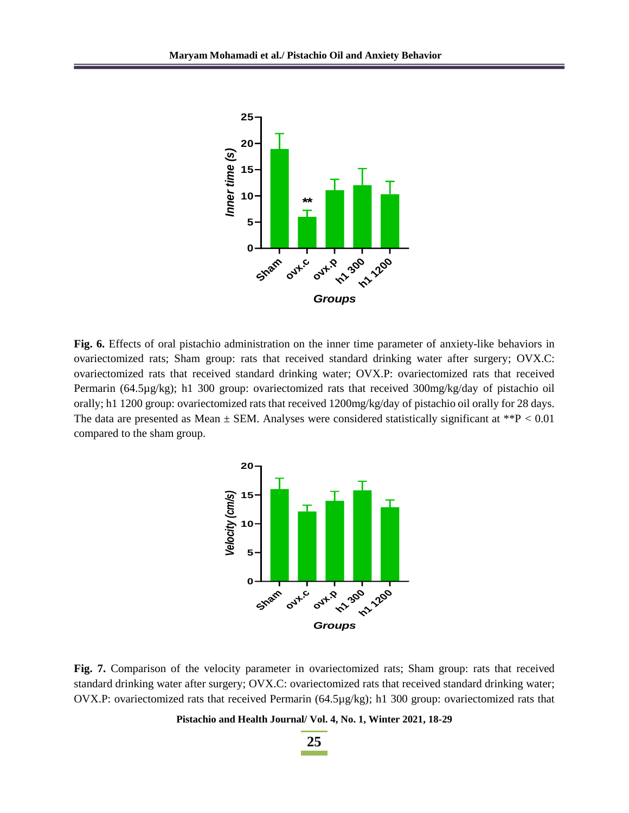

**Fig. 6.** Effects of oral pistachio administration on the inner time parameter of anxiety-like behaviors in ovariectomized rats; Sham group: rats that received standard drinking water after surgery; OVX.C: ovariectomized rats that received standard drinking water; OVX.P: ovariectomized rats that received Permarin (64.5µg/kg); h1 300 group: ovariectomized rats that received 300mg/kg/day of pistachio oil orally; h1 1200 group: ovariectomized rats that received 1200mg/kg/day of pistachio oil orally for 28 days. The data are presented as Mean  $\pm$  SEM. Analyses were considered statistically significant at \*\*P < 0.01 compared to the sham group.



**Fig. 7.** Comparison of the velocity parameter in ovariectomized rats; Sham group: rats that received standard drinking water after surgery; OVX.C: ovariectomized rats that received standard drinking water; OVX.P: ovariectomized rats that received Permarin (64.5µg/kg); h1 300 group: ovariectomized rats that

#### **Pistachio and Health Journal/ Vol. 4, No. 1, Winter 2021, 18-29**

**25**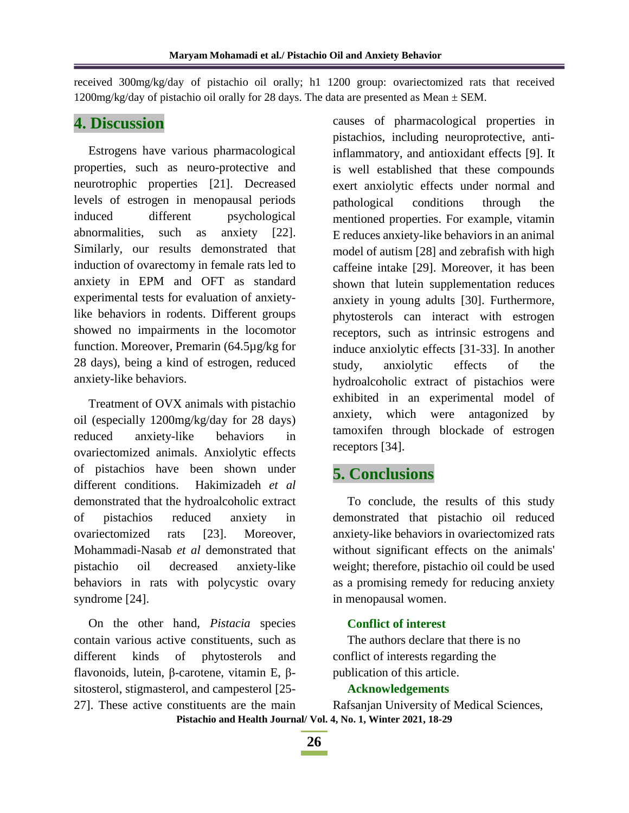received 300mg/kg/day of pistachio oil orally; h1 1200 group: ovariectomized rats that received 1200mg/kg/day of pistachio oil orally for 28 days. The data are presented as Mean  $\pm$  SEM.

## **4. Discussion**

Estrogens have various pharmacological properties, such as neuro-protective and neurotrophic properties [21]. Decreased levels of estrogen in menopausal periods induced different psychological abnormalities, such as anxiety [22]. Similarly, our results demonstrated that induction of ovarectomy in female rats led to anxiety in EPM and OFT as standard experimental tests for evaluation of anxietylike behaviors in rodents. Different groups showed no impairments in the locomotor function. Moreover, Premarin (64.5µg/kg for 28 days), being a kind of estrogen, reduced anxiety-like behaviors.

Treatment of OVX animals with pistachio oil (especially 1200mg/kg/day for 28 days) reduced anxiety-like behaviors in ovariectomized animals. Anxiolytic effects of pistachios have been shown under different conditions. Hakimizadeh *et al* demonstrated that the hydroalcoholic extract of pistachios reduced anxiety in ovariectomized rats [23]. Moreover, Mohammadi-Nasab *et al* demonstrated that pistachio oil decreased anxiety-like behaviors in rats with polycystic ovary syndrome [24].

On the other hand, *Pistacia* species contain various active constituents, such as different kinds of phytosterols and flavonoids, lutein, β-carotene, vitamin E, βsitosterol, stigmasterol, and campesterol [25- 27]. These active constituents are the main causes of pharmacological properties in pistachios, including neuroprotective, antiinflammatory, and antioxidant effects [9]. It is well established that these compounds exert anxiolytic effects under normal and pathological conditions through the mentioned properties. For example, vitamin E reduces anxiety-like behaviors in an animal model of autism [28] and zebrafish with high caffeine intake [29]. Moreover, it has been shown that lutein supplementation reduces anxiety in young adults [30]. Furthermore, phytosterols can interact with estrogen receptors, such as intrinsic estrogens and induce anxiolytic effects [31-33]. In another study, anxiolytic effects of the hydroalcoholic extract of pistachios were exhibited in an experimental model of anxiety, which were antagonized by tamoxifen through blockade of estrogen receptors [34].

# **5. Conclusions**

To conclude, the results of this study demonstrated that pistachio oil reduced anxiety-like behaviors in ovariectomized rats without significant effects on the animals' weight; therefore, pistachio oil could be used as a promising remedy for reducing anxiety in menopausal women.

### **Conflict of interest**

The authors declare that there is no conflict of interests regarding the publication of this article.

### **Acknowledgements**

**Pistachio and Health Journal/ Vol. 4, No. 1, Winter 2021, 18-29** Rafsanjan University of Medical Sciences,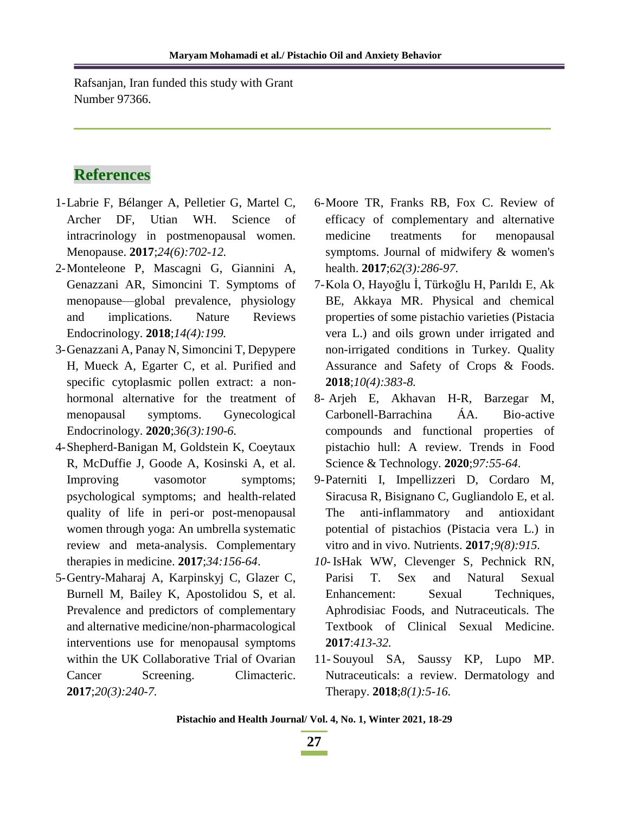Rafsanjan, Iran funded this study with Grant Number 97366.

# **References**

- 1-Labrie F, Bélanger A, Pelletier G, Martel C, Archer DF, Utian WH. Science of intracrinology in postmenopausal women. Menopause. **2017**;*24(6):702-12.*
- 2-Monteleone P, Mascagni G, Giannini A, Genazzani AR, Simoncini T. Symptoms of menopause—global prevalence, physiology and implications. Nature Reviews Endocrinology. **2018**;*14(4):199.*
- 3-Genazzani A, Panay N, Simoncini T, Depypere H, Mueck A, Egarter C, et al. Purified and specific cytoplasmic pollen extract: a nonhormonal alternative for the treatment of menopausal symptoms. Gynecological Endocrinology. **2020**;*36(3):190-6.*
- 4-Shepherd-Banigan M, Goldstein K, Coeytaux R, McDuffie J, Goode A, Kosinski A, et al. Improving vasomotor symptoms; psychological symptoms; and health-related quality of life in peri-or post-menopausal women through yoga: An umbrella systematic review and meta-analysis. Complementary therapies in medicine. **2017**;*34:156-64*.
- 5-Gentry-Maharaj A, Karpinskyj C, Glazer C, Burnell M, Bailey K, Apostolidou S, et al. Prevalence and predictors of complementary and alternative medicine/non-pharmacological interventions use for menopausal symptoms within the UK Collaborative Trial of Ovarian Cancer Screening. Climacteric. **2017**;*20(3):240-7.*
- 6-Moore TR, Franks RB, Fox C. Review of efficacy of complementary and alternative medicine treatments for menopausal symptoms. Journal of midwifery & women's health. **2017**;*62(3):286-97.*
- 7-Kola O, Hayoğlu İ, Türkoğlu H, Parıldı E, Ak BE, Akkaya MR. Physical and chemical properties of some pistachio varieties (Pistacia vera L.) and oils grown under irrigated and non-irrigated conditions in Turkey. Quality Assurance and Safety of Crops & Foods. **2018**;*10(4):383-8.*
- 8- Arjeh E, Akhavan H-R, Barzegar M, Carbonell-Barrachina ÁA. Bio-active compounds and functional properties of pistachio hull: A review. Trends in Food Science & Technology. **2020**;*97:55-64*.
- 9-Paterniti I, Impellizzeri D, Cordaro M, Siracusa R, Bisignano C, Gugliandolo E, et al. The anti-inflammatory and antioxidant potential of pistachios (Pistacia vera L.) in vitro and in vivo. Nutrients. **2017***;9(8):915.*
- *10-* IsHak WW, Clevenger S, Pechnick RN, Parisi T. Sex and Natural Sexual Enhancement: Sexual Techniques, Aphrodisiac Foods, and Nutraceuticals. The Textbook of Clinical Sexual Medicine. **2017**:*413-32.*
- 11- Souyoul SA, Saussy KP, Lupo MP. Nutraceuticals: a review. Dermatology and Therapy. **2018**;*8(1):5-16.*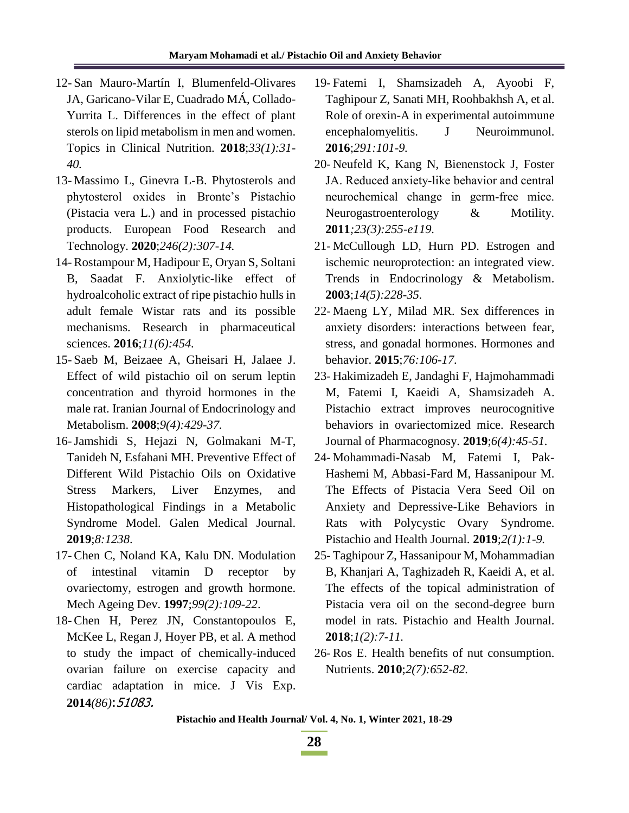- 12- San Mauro-Martín I, Blumenfeld-Olivares JA, Garicano-Vilar E, Cuadrado MÁ, Collado-Yurrita L. Differences in the effect of plant sterols on lipid metabolism in men and women. Topics in Clinical Nutrition. **2018**;*33(1):31- 40.*
- 13- Massimo L, Ginevra L-B. Phytosterols and phytosterol oxides in Bronte's Pistachio (Pistacia vera L.) and in processed pistachio products. European Food Research and Technology. **2020**;*246(2):307-14.*
- 14- Rostampour M, Hadipour E, Oryan S, Soltani B, Saadat F. Anxiolytic-like effect of hydroalcoholic extract of ripe pistachio hulls in adult female Wistar rats and its possible mechanisms. Research in pharmaceutical sciences. **2016**;*11(6):454.*
- 15- Saeb M, Beizaee A, Gheisari H, Jalaee J. Effect of wild pistachio oil on serum leptin concentration and thyroid hormones in the male rat. Iranian Journal of Endocrinology and Metabolism. **2008**;*9(4):429-37.*
- 16-Jamshidi S, Hejazi N, Golmakani M-T, Tanideh N, Esfahani MH. Preventive Effect of Different Wild Pistachio Oils on Oxidative Stress Markers, Liver Enzymes, and Histopathological Findings in a Metabolic Syndrome Model. Galen Medical Journal. **2019**;*8:1238*.
- 17- Chen C, Noland KA, Kalu DN. Modulation of intestinal vitamin D receptor by ovariectomy, estrogen and growth hormone. Mech Ageing Dev. **1997**;*99(2):109-22*.
- 18- Chen H, Perez JN, Constantopoulos E, McKee L, Regan J, Hoyer PB, et al. A method to study the impact of chemically-induced ovarian failure on exercise capacity and cardiac adaptation in mice. J Vis Exp. **2014***(86)*:51083.
- 19- Fatemi I, Shamsizadeh A, Ayoobi F, Taghipour Z, Sanati MH, Roohbakhsh A, et al. Role of orexin-A in experimental autoimmune encephalomyelitis. J Neuroimmunol. **2016**;*291:101-9.*
- 20- Neufeld K, Kang N, Bienenstock J, Foster JA. Reduced anxiety‐like behavior and central neurochemical change in germ‐free mice. Neurogastroenterology & Motility. **2011***;23(3):255-e119.*
- 21- McCullough LD, Hurn PD. Estrogen and ischemic neuroprotection: an integrated view. Trends in Endocrinology & Metabolism. **2003**;*14(5):228-35.*
- 22- Maeng LY, Milad MR. Sex differences in anxiety disorders: interactions between fear, stress, and gonadal hormones. Hormones and behavior. **2015**;*76:106-17.*
- 23- Hakimizadeh E, Jandaghi F, Hajmohammadi M, Fatemi I, Kaeidi A, Shamsizadeh A. Pistachio extract improves neurocognitive behaviors in ovariectomized mice. Research Journal of Pharmacognosy. **2019**;*6(4):45-51.*
- 24- Mohammadi-Nasab M, Fatemi I, Pak-Hashemi M, Abbasi-Fard M, Hassanipour M. The Effects of Pistacia Vera Seed Oil on Anxiety and Depressive-Like Behaviors in Rats with Polycystic Ovary Syndrome. Pistachio and Health Journal. **2019**;*2(1):1-9.*
- 25- Taghipour Z, Hassanipour M, Mohammadian B, Khanjari A, Taghizadeh R, Kaeidi A, et al. The effects of the topical administration of Pistacia vera oil on the second-degree burn model in rats. Pistachio and Health Journal. **2018**;*1(2):7-11.*
- 26- Ros E. Health benefits of nut consumption. Nutrients. **2010**;*2(7):652-82.*